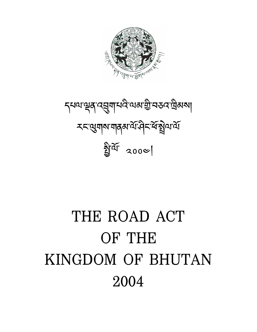# THE ROAD ACT OF THE KINGDOM OF BHUTAN 2004

*ॸ्*थायञ्चुब् 'दसुबा'धर्वे'यअञ्चो प्रस्त्यावेबब्ध **र***द्***युगय गवह ये संस्कृ**ष्य से ེ য়ীর্থা 2000|

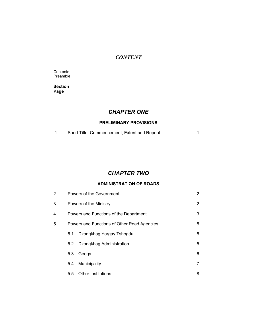## *CONTENT*

**Contents** Preamble

**Section Page** 

# *CHAPTER ONE*

## **PRELIMINARY PROVISIONS**

1. Short Title, Commencement, Extent and Repeal 1

## *CHAPTER TWO*

#### **ADMINISTRATION OF ROADS**

| 2. |                                        | Powers of the Government                    | $\overline{2}$ |
|----|----------------------------------------|---------------------------------------------|----------------|
| 3. |                                        | Powers of the Ministry                      | $\overline{2}$ |
| 4. | Powers and Functions of the Department |                                             | 3              |
| 5. |                                        | Powers and Functions of Other Road Agencies | 5              |
|    | 5.1                                    | Dzongkhag Yargay Tshogdu                    | 5              |
|    | 5.2                                    | Dzongkhag Administration                    | 5              |
|    | 5.3                                    | Geogs                                       | 6              |
|    | 5.4                                    | Municipality                                | 7              |
|    | $5.5^{\circ}$                          | Other Institutions                          | 8              |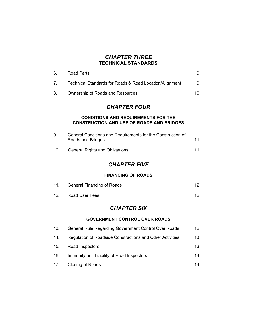## *CHAPTER THREE*  **TECHNICAL STANDARDS**

| 6.              | <b>Road Parts</b>                                                                              | 9               |
|-----------------|------------------------------------------------------------------------------------------------|-----------------|
| 7.              | Technical Standards for Roads & Road Location/Alignment                                        | 9               |
| 8.              | Ownership of Roads and Resources                                                               | 10              |
|                 | <b>CHAPTER FOUR</b>                                                                            |                 |
|                 | <b>CONDITIONS AND REQUIREMENTS FOR THE</b><br><b>CONSTRUCTION AND USE OF ROADS AND BRIDGES</b> |                 |
| 9.              | General Conditions and Requirements for the Construction of<br>Roads and Bridges               | 11              |
| 10 <sub>1</sub> | <b>General Rights and Obligations</b>                                                          | 11              |
|                 | <b>CHAPTER FIVE</b>                                                                            |                 |
|                 | <b>FINANCING OF ROADS</b>                                                                      |                 |
| 11.             | <b>General Financing of Roads</b>                                                              | 12 <sup>2</sup> |
| 12.             | Road User Fees                                                                                 | 12 <sup>2</sup> |
|                 | <b>CHAPTER SIX</b>                                                                             |                 |
|                 | <b>GOVERNMENT CONTROL OVER ROADS</b>                                                           |                 |
| 13.             | General Rule Regarding Government Control Over Roads                                           | 12              |
| 14.             | Regulation of Roadside Constructions and Other Activities                                      | 13              |
| 15.             | Road Inspectors                                                                                | 13              |
| 16.             | Immunity and Liability of Road Inspectors                                                      | 14              |
| 17.             | Closing of Roads                                                                               | 14              |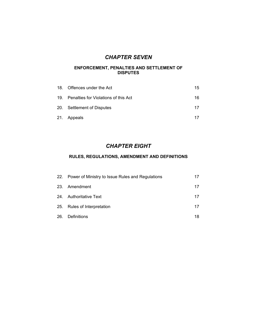# *CHAPTER SEVEN*

#### **ENFORCEMENT, PENALTIES AND SETTLEMENT OF DISPUTES**

| 18. Offences under the Act               | 15 |
|------------------------------------------|----|
| 19. Penalties for Violations of this Act | 16 |
| 20. Settlement of Disputes               | 17 |
| 21. Appeals                              |    |

# *CHAPTER EIGHT*

## **RULES, REGULATIONS, AMENDMENT AND DEFINITIONS**

| 22. Power of Ministry to Issue Rules and Regulations | 17 |
|------------------------------------------------------|----|
| 23. Amendment                                        | 17 |
| 24. Authoritative Text                               | 17 |
| 25. Rules of Interpretation                          | 17 |
| 26. Definitions                                      | 18 |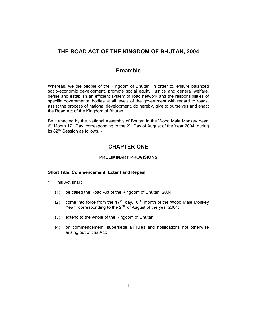## **THE ROAD ACT OF THE KINGDOM OF BHUTAN, 2004**

## **Preamble**

Whereas, we the people of the Kingdom of Bhutan, in order to, ensure balanced socio-economic development, promote social equity, justice and general welfare, define and establish an efficient system of road network and the responsibilities of specific governmental bodies at all levels of the government with regard to roads, assist the process of national development, do hereby, give to ourselves and enact the Road Act of the Kingdom of Bhutan.

Be it enacted by the National Assembly of Bhutan in the Wood Male Monkey Year, 6<sup>th</sup> Month 17<sup>th</sup> Day, corresponding to the 2<sup>nd</sup> Day of August of the Year 2004, during its 82nd Session as follows, -

## **CHAPTER ONE**

#### **PRELIMINARY PROVISIONS**

#### **Short Title, Commencement, Extent and Repeal**

- 1. This Act shall;
	- (1) be called the Road Act of the Kingdom of Bhutan, 2004;
	- (2) come into force from the  $17<sup>th</sup>$  day,  $6<sup>th</sup>$  month of the Wood Male Monkey Year corresponding to the 2<sup>nd</sup> of August of the year 2004;
	- (3) extend to the whole of the Kingdom of Bhutan;
	- (4) on commencement, supersede all rules and notifications not otherwise arising out of this Act;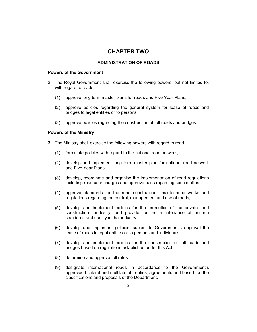## **CHAPTER TWO**

#### **ADMINISTRATION OF ROADS**

#### **Powers of the Government**

- 2. The Royal Government shall exercise the following powers, but not limited to, with regard to roads:
	- (1) approve long term master plans for roads and Five Year Plans;
	- (2) approve policies regarding the general system for lease of roads and bridges to legal entities or to persons;
	- (3) approve policies regarding the construction of toll roads and bridges.

#### **Powers of the Ministry**

- 3. The Ministry shall exercise the following powers with regard to road,
	- (1) formulate policies with regard to the national road network;
	- (2) develop and implement long term master plan for national road network and Five Year Plans;
	- (3) develop, coordinate and organise the implementation of road regulations including road user charges and approve rules regarding such matters;
	- (4) approve standards for the road construction, maintenance works and regulations regarding the control, management and use of roads;
	- (5) develop and implement policies for the promotion of the private road construction industry, and provide for the maintenance of uniform standards and quality in that industry;
	- (6) develop and implement policies, subject to Government's approval the lease of roads to legal entities or to persons and individuals;
	- (7) develop and implement policies for the construction of toll roads and bridges based on regulations established under this Act;
	- (8) determine and approve toll rates;
	- (9) designate international roads in accordance to the Government's approved bilateral and multilateral treaties, agreements and based on the classifications and proposals of the Department.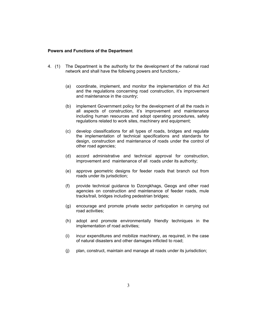#### **Powers and Functions of the Department**

- 4. (1) The Department is the authority for the development of the national road network and shall have the following powers and functions,-
	- (a) coordinate, implement, and monitor the implementation of this Act and the regulations concerning road construction, it's improvement and maintenance in the country;
	- (b) implement Government policy for the development of all the roads in all aspects of construction, it's improvement and maintenance including human resources and adopt operating procedures, safety regulations related to work sites, machinery and equipment;
	- (c) develop classifications for all types of roads, bridges and regulate the implementation of technical specifications and standards for design, construction and maintenance of roads under the control of other road agencies;
	- (d) accord administrative and technical approval for construction, improvement and maintenance of all roads under its authority;
	- (e) approve geometric designs for feeder roads that branch out from roads under its jurisdiction;
	- (f) provide technical guidance to Dzongkhags, Geogs and other road agencies on construction and maintenance of feeder roads, mule tracks/trail, bridges including pedestrian bridges;
	- (g) encourage and promote private sector participation in carrying out road activities;
	- (h) adopt and promote environmentally friendly techniques in the implementation of road activities;
	- (i) incur expenditures and mobilize machinery, as required, in the case of natural disasters and other damages inflicted to road;
	- (j) plan, construct, maintain and manage all roads under its jurisdiction;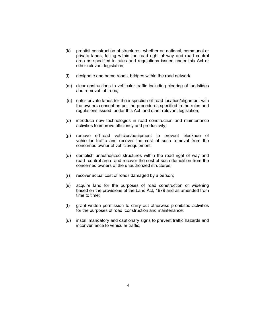- (k) prohibit construction of structures, whether on national, communal or private lands, falling within the road right of way and road control area as specified in rules and regulations issued under this Act or other relevant legislation;
- (l) designate and name roads, bridges within the road network
- (m) clear obstructions to vehicular traffic including clearing of landslides and removal of trees;
- (n) enter private lands for the inspection of road location/alignment with the owners consent as per the procedures specified in the rules and regulations issued under this Act and other relevant legislation;
- (o) introduce new technologies in road construction and maintenance activities to improve efficiency and productivity;
- (p) remove off-road vehicles/equipment to prevent blockade of vehicular traffic and recover the cost of such removal from the concerned owner of vehicle/equipment;
- (q) demolish unauthorized structures within the road right of way and road control area and recover the cost of such demolition from the concerned owners of the unauthorized structures;
- (r) recover actual cost of roads damaged by a person;
- (s) acquire land for the purposes of road construction or widening based on the provisions of the Land Act, 1979 and as amended from time to time;
- (t) grant written permission to carry out otherwise prohibited activities for the purposes of road construction and maintenance;
- (u) install mandatory and cautionary signs to prevent traffic hazards and inconvenience to vehicular traffic;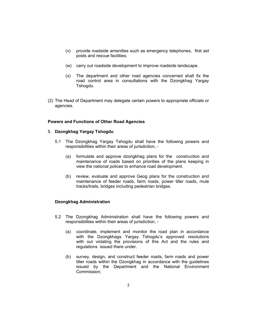- (v) provide roadside amenities such as emergency telephones, first aid posts and rescue facilities;
- (w) carry out roadside development to improve roadside landscape.
- (x) The department and other road agencies concerned shall fix the road control area in consultations with the Dzongkhag Yargay Tshogdu.
- (2) The Head of Department may delegate certain powers to appropriate officials or agencies.

#### **Powers and Functions of Other Road Agencies**

#### 5. **Dzongkhag Yargay Tshogdu**

- 5.1 The Dzongkhag Yargay Tshogdu shall have the following powers and responsibilities within their areas of jurisdiction, -
	- (a) formulate and approve dzongkhag plans for the construction and maintenance of roads based on priorities of the plans keeping in view the national polices to enhance road development.
	- (b) review, evaluate and approve Geog plans for the construction and maintenance of feeder roads, farm roads, power tiller roads, mule tracks/trails, bridges including pedestrian bridges.

#### **Dzongkhag Administration**

- 5.2 The Dzongkhag Administration shall have the following powers and responsibilities within their areas of jurisdiction, -
	- (a) coordinate, implement and monitor the road plan in accordance with the Dzongkhags Yargay Tshogdu's approved resolutions with out violating the provisions of this Act and the rules and regulations issued there under.
	- (b) survey, design, and construct feeder roads, farm roads and power tiller roads within the Dzongkhag in accordance with the guidelines issued by the Department and the National Environment Commission;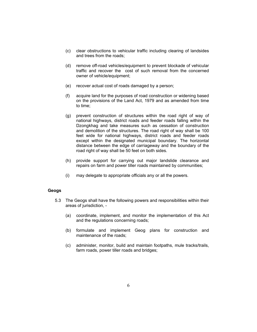- (c) clear obstructions to vehicular traffic including clearing of landsides and trees from the roads;
- (d) remove off-road vehicles/equipment to prevent blockade of vehicular traffic and recover the cost of such removal from the concerned owner of vehicle/equipment;
- (e) recover actual cost of roads damaged by a person;
- (f) acquire land for the purposes of road construction or widening based on the provisions of the Land Act, 1979 and as amended from time to time;
- (g) prevent construction of structures within the road right of way of national highways, district roads and feeder roads falling within the Dzongkhag and take measures such as cessation of construction and demolition of the structures. The road right of way shall be 100 feet wide for national highways, district roads and feeder roads except within the designated municipal boundary. The horizontal distance between the edge of carriageway and the boundary of the road right of way shall be 50 feet on both sides.
- (h) provide support for carrying out major landslide clearance and repairs on farm and power tiller roads maintained by communities;
- (i) may delegate to appropriate officials any or all the powers.

#### **Geogs**

- 5.3 The Geogs shall have the following powers and responsibilities within their areas of jurisdiction, -
	- (a) coordinate, implement, and monitor the implementation of this Act and the regulations concerning roads;
	- (b) formulate and implement Geog plans for construction and maintenance of the roads;
	- (c) administer, monitor, build and maintain footpaths, mule tracks/trails, farm roads, power tiller roads and bridges;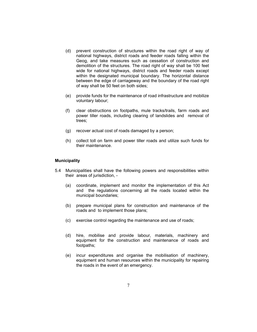- (d) prevent construction of structures within the road right of way of national highways, district roads and feeder roads falling within the Geog, and take measures such as cessation of construction and demolition of the structures. The road right of way shall be 100 feet wide for national highways, district roads and feeder roads except within the designated municipal boundary. The horizontal distance between the edge of carriageway and the boundary of the road right of way shall be 50 feet on both sides;
- (e) provide funds for the maintenance of road infrastructure and mobilize voluntary labour;
- (f) clear obstructions on footpaths, mule tracks/trails, farm roads and power tiller roads, including clearing of landslides and removal of trees;
- (g) recover actual cost of roads damaged by a person;
- (h) collect toll on farm and power tiller roads and utilize such funds for their maintenance.

#### **Municipality**

- 5.4 Municipalities shall have the following powers and responsibilities within their areas of jurisdiction, -
	- (a) coordinate, implement and monitor the implementation of this Act and the regulations concerning all the roads located within the municipal boundaries;
	- (b) prepare municipal plans for construction and maintenance of the roads and to implement those plans;
	- (c) exercise control regarding the maintenance and use of roads;
	- (d) hire, mobilise and provide labour, materials, machinery and equipment for the construction and maintenance of roads and footpaths;
	- (e) incur expenditures and organise the mobilisation of machinery, equipment and human resources within the municipality for repairing the roads in the event of an emergency.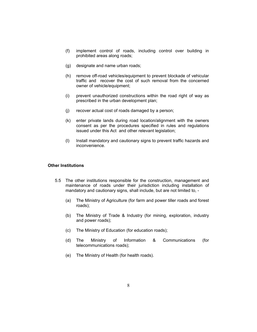- (f) implement control of roads, including control over building in prohibited areas along roads;
- (g) designate and name urban roads;
- (h) remove off-road vehicles/equipment to prevent blockade of vehicular traffic and recover the cost of such removal from the concerned owner of vehicle/equipment;
- (i) prevent unauthorized constructions within the road right of way as prescribed in the urban development plan;
- (j) recover actual cost of roads damaged by a person;
- (k) enter private lands during road location/alignment with the owners consent as per the procedures specified in rules and regulations issued under this Act and other relevant legislation;
- (l) Install mandatory and cautionary signs to prevent traffic hazards and inconvenience.

#### **Other Institutions**

- 5.5 The other institutions responsible for the construction, management and maintenance of roads under their jurisdiction including installation of mandatory and cautionary signs, shall include, but are not limited to, -
	- (a) The Ministry of Agriculture (for farm and power tiller roads and forest roads);
	- (b) The Ministry of Trade & Industry (for mining, exploration, industry and power roads);
	- (c) The Ministry of Education (for education roads);
	- (d) The Ministry of Information & Communications (for telecommunications roads);
	- (e) The Ministry of Health (for health roads).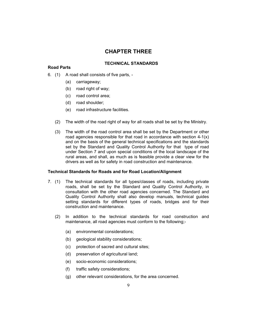## **CHAPTER THREE**

#### **Road Parts**

#### **TECHNICAL STANDARDS**

- 6. (1) A road shall consists of five parts,
	- (a) carriageway;
	- (b) road right of way;
	- (c) road control area;
	- (d) road shoulder;
	- (e) road infrastructure facilities.
	- (2) The width of the road right of way for all roads shall be set by the Ministry.
	- (3) The width of the road control area shall be set by the Department or other road agencies responsible for that road in accordance with section 4-1(x) and on the basis of the general technical specifications and the standards set by the Standard and Quality Control Authority for that type of road under Section 7 and upon special conditions of the local landscape of the rural areas, and shall, as much as is feasible provide a clear view for the drivers as well as for safety in road construction and maintenance.

#### **Technical Standards for Roads and for Road Location/Alignment**

- 7. (1) The technical standards for all types/classes of roads, including private roads, shall be set by the Standard and Quality Control Authority, in consultation with the other road agencies concerned. The Standard and Quality Control Authority shall also develop manuals, technical guides setting standards for different types of roads, bridges and for their construction and maintenance.
	- (2) In addition to the technical standards for road construction and maintenance, all road agencies must conform to the following;-
		- (a) environmental considerations;
		- (b) geological stability considerations;
		- (c) protection of sacred and cultural sites;
		- (d) preservation of agricultural land;
		- (e) socio-economic considerations;
		- (f) traffic safety considerations;
		- (g) other relevant considerations, for the area concerned.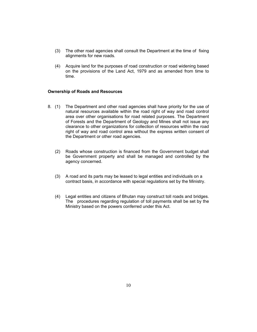- (3) The other road agencies shall consult the Department at the time of fixing alignments for new roads.
- (4) Acquire land for the purposes of road construction or road widening based on the provisions of the Land Act, 1979 and as amended from time to time.

#### **Ownership of Roads and Resources**

- 8. (1) The Department and other road agencies shall have priority for the use of natural resources available within the road right of way and road control area over other organisations for road related purposes. The Department of Forests and the Department of Geology and Mines shall not issue any clearance to other organizations for collection of resources within the road right of way and road control area without the express written consent of the Department or other road agencies.
	- (2) Roads whose construction is financed from the Government budget shall be Government property and shall be managed and controlled by the agency concerned.
	- (3) A road and its parts may be leased to legal entities and individuals on a contract basis, in accordance with special regulations set by the Ministry.
	- (4) Legal entities and citizens of Bhutan may construct toll roads and bridges. The procedures regarding regulation of toll payments shall be set by the Ministry based on the powers conferred under this Act.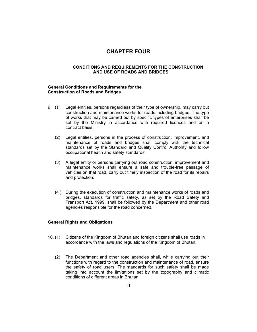## **CHAPTER FOUR**

#### **CONDITIONS AND REQUIREMENTS FOR THE CONSTRUCTION AND USE OF ROADS AND BRIDGES**

#### **General Conditions and Requirements for the Construction of Roads and Bridges**

- 9 (1) Legal entities, persons regardless of their type of ownership, may carry out construction and maintenance works for roads including bridges. The type of works that may be carried out by specific types of enterprises shall be set by the Ministry in accordance with required licences and on a contract basis.
	- (2) Legal entities, persons in the process of construction, improvement, and maintenance of roads and bridges shall comply with the technical standards set by the Standard and Quality Control Authority and follow occupational health and safety standards.
	- (3) A legal entity or persons carrying out road construction, improvement and maintenance works shall ensure a safe and trouble-free passage of vehicles on that road, carry out timely inspection of the road for its repairs and protection.
	- (4 ) During the execution of construction and maintenance works of roads and bridges, standards for traffic safety, as set by the Road Safety and Transport Act, 1999, shall be followed by the Department and other road agencies responsible for the road concerned.

#### **General Rights and Obligations**

- 10. (1) Citizens of the Kingdom of Bhutan and foreign citizens shall use roads in accordance with the laws and regulations of the Kingdom of Bhutan.
	- (2) The Department and other road agencies shall, while carrying out their functions with regard to the construction and maintenance of road, ensure the safety of road users. The standards for such safety shall be made taking into account the limitations set by the topography and climatic conditions of different areas in Bhutan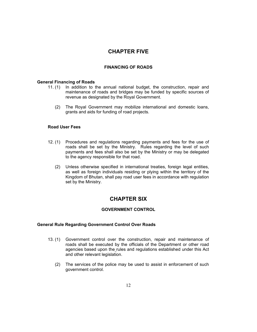## **CHAPTER FIVE**

#### **FINANCING OF ROADS**

#### **General Financing of Roads**

- 11. (1) In addition to the annual national budget, the construction, repair and maintenance of roads and bridges may be funded by specific sources of revenue as designated by the Royal Government.
	- (2) The Royal Government may mobilize international and domestic loans, grants and aids for funding of road projects.

#### **Road User Fees**

- 12. (1) Procedures and regulations regarding payments and fees for the use of roads shall be set by the Ministry. Rules regarding the level of such payments and fees shall also be set by the Ministry or may be delegated to the agency responsible for that road.
	- (2) Unless otherwise specified in international treaties, foreign legal entities, as well as foreign individuals residing or plying within the territory of the Kingdom of Bhutan, shall pay road user fees in accordance with regulation set by the Ministry.

## **CHAPTER SIX**

#### **GOVERNMENT CONTROL**

#### **General Rule Regarding Government Control Over Roads**

- 13. (1) Government control over the construction, repair and maintenance of roads shall be executed by the officials of the Department or other road agencies based upon the rules and regulations established under this Act and other relevant legislation.
	- (2) The services of the police may be used to assist in enforcement of such government control.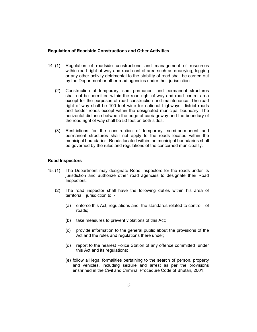#### **Regulation of Roadside Constructions and Other Activities**

- 14. (1) Regulation of roadside constructions and management of resources within road right of way and road control area such as quarrying, logging or any other activity detrimental to the stability of road shall be carried out by the Department or other road agencies under their jurisdiction.
	- (2) Construction of temporary, semi-permanent and permanent structures shall not be permitted within the road right of way and road control area except for the purposes of road construction and maintenance. The road right of way shall be 100 feet wide for national highways, district roads and feeder roads except within the designated municipal boundary. The horizontal distance between the edge of carriageway and the boundary of the road right of way shall be 50 feet on both sides.
	- (3) Restrictions for the construction of temporary, semi-permanent and permanent structures shall not apply to the roads located within the municipal boundaries. Roads located within the municipal boundaries shall be governed by the rules and regulations of the concerned municipality.

#### **Road Inspectors**

- 15. (1) The Department may designate Road Inspectors for the roads under its jurisdiction and authorize other road agencies to designate their Road Inspectors.
	- (2) The road inspector shall have the following duties within his area of territorial jurisdiction to, -
		- (a) enforce this Act, regulations and the standards related to control of roads;
		- (b) take measures to prevent violations of this Act;
		- (c) provide information to the general public about the provisions of the Act and the rules and regulations there under;
		- (d) report to the nearest Police Station of any offence committed under this Act and its regulations;
		- (e) follow all legal formalities pertaining to the search of person, property and vehicles, including seizure and arrest as per the provisions enshrined in the Civil and Criminal Procedure Code of Bhutan, 2001.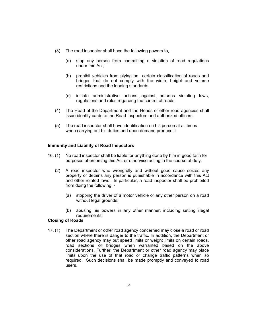- (3) The road inspector shall have the following powers to,
	- (a) stop any person from committing a violation of road regulations under this Act;
	- (b) prohibit vehicles from plying on certain classification of roads and bridges that do not comply with the width, height and volume restrictions and the loading standards,
	- (c) initiate administrative actions against persons violating laws, regulations and rules regarding the control of roads.
- (4) The Head of the Department and the Heads of other road agencies shall issue identity cards to the Road Inspectors and authorized officers.
- (5) The road inspector shall have identification on his person at all times when carrying out his duties and upon demand produce it.

#### **Immunity and Liability of Road Inspectors**

- 16. (1) No road inspector shall be liable for anything done by him in good faith for purposes of enforcing this Act or otherwise acting in the course of duty.
	- (2) A road inspector who wrongfully and without good cause seizes any property or detains any person is punishable in accordance with this Act and other related laws. In particular, a road inspector shall be prohibited from doing the following, -
		- (a) stopping the driver of a motor vehicle or any other person on a road without legal grounds;
		- (b) abusing his powers in any other manner, including setting illegal requirements;

#### **Closing of Roads**

17. (1) The Department or other road agency concerned may close a road or road section where there is danger to the traffic. In addition, the Department or other road agency may put speed limits or weight limits on certain roads, road sections or bridges when warranted based on the above considerations. Further, the Department or other road agency may place limits upon the use of that road or change traffic patterns when so required. Such decisions shall be made promptly and conveyed to road users.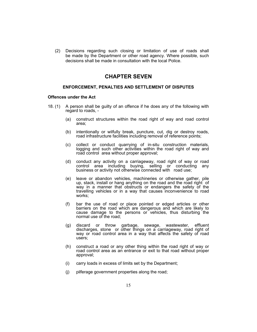(2) Decisions regarding such closing or limitation of use of roads shall be made by the Department or other road agency. Where possible, such decisions shall be made in consultation with the local Police.

## **CHAPTER SEVEN**

#### **ENFORCEMENT, PENALTIES AND SETTLEMENT OF DISPUTES**

#### **Offences under the Act**

- 18. (1) A person shall be guilty of an offence if he does any of the following with regard to roads, -
	- (a) construct structures within the road right of way and road control area;
	- (b) intentionally or wilfully break, puncture, cut, dig or destroy roads, road infrastructure facilities including removal of reference points;
	- (c) collect or conduct quarrying of in-situ construction materials, logging and such other activities within the road right of way and road control area without proper approval;
	- (d) conduct any activity on a carriageway, road right of way or road control area including buying, selling or conducting any business or activity not otherwise connected with road use;
	- (e) leave or abandon vehicles, machineries or otherwise gather, pile up, stack, install or hang anything on the road and the road right of way in a manner that obstructs or endangers the safety of the travelling vehicles or in a way that causes inconvenience to road works;
	- (f) bar the use of road or place pointed or edged articles or other barriers on the road which are dangerous and which are likely to cause damage to the persons or vehicles, thus disturbing the normal use of the road;
	- (g) discard or throw garbage, sewage, wastewater, effluent discharges, stone or other things on a carriageway, road right of way or road control area in a way that affects the safety of road users;
	- (h) construct a road or any other thing within the road right of way or road control area as an entrance or exit to that road without proper approval;
	- (i) carry loads in excess of limits set by the Department;
	- (j) pilferage government properties along the road;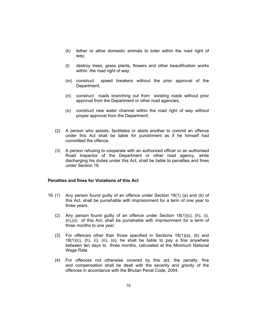- (k) tether or allow domestic animals to loiter within the road right of way;
- (l) destroy trees, grass plants, flowers and other beautification works within the road right of way;
- (m) construct speed breakers without the prior approval of the Department;
- (n) construct roads branching out from existing roads without prior approval from the Department or other road agencies;
- (o) construct new water channel within the road right of way without proper approval from the Department;
- (2) A person who assists, facilitates or abets another to commit an offence under this Act shall be liable for punishment as if he himself had committed the offence.
- (3) A person refusing to cooperate with an authorized officer or an authorised Road Inspector of the Department or other road agency, while discharging his duties under this Act, shall be liable to penalties and fines under Section 19.

#### **Penalties and fines for Violations of this Act**

- 19. (1) Any person found guilty of an offence under Section 18(1) (a) and (b) of this Act, shall be punishable with imprisonment for a term of one year to three years.
	- (2) Any person found quilty of an offence under Section  $18(1)(c)$ ,  $(h)$ ,  $(i)$ , (n),(o) of this Act, shall be punishable with imprisonment for a term of three months to one year.
	- (3) For offences other than those specified in Sections 18(1)(a), (b) and  $18(1)(c)$ , (h), (i), (n), (o), he shall be liable to pay a fine anywhere between ten days to three months, calculated at the Minimum National Wage Rate.
	- (4) For offences not otherwise covered by this act, the penalty, fine and compensation shall be dealt with the severity and gravity of the offences in accordance with the Bhutan Penal Code, 2004.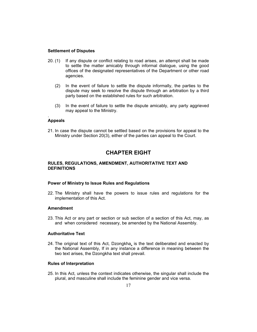#### **Settlement of Disputes**

- 20. (1) If any dispute or conflict relating to road arises, an attempt shall be made to settle the matter amicably through informal dialogue, using the good offices of the designated representatives of the Department or other road agencies.
	- (2) In the event of failure to settle the dispute informally, the parties to the dispute may seek to resolve the dispute through an arbitration by a third party based on the established rules for such arbitration.
	- (3) In the event of failure to settle the dispute amicably, any party aggrieved may appeal to the Ministry.

#### **Appeals**

.

21. In case the dispute cannot be settled based on the provisions for appeal to the Ministry under Section 20(3), either of the parties can appeal to the Court.

## **CHAPTER EIGHT**

#### **RULES, REGULATIONS, AMENDMENT, AUTHORITATIVE TEXT AND DEFINITIONS**

#### **Power of Ministry to Issue Rules and Regulations**

22. The Ministry shall have the powers to issue rules and regulations for the implementation of this Act.

#### **Amendment**

23. This Act or any part or section or sub section of a section of this Act, may, as and when considered necessary, be amended by the National Assembly.

#### **Authoritative Text**

24. The original text of this Act, Dzongkha, is the text deliberated and enacted by the National Assembly, If in any instance a difference in meaning between the two text arises, the Dzongkha text shall prevail.

#### **Rules of Interpretation**

25. In this Act, unless the context indicates otherwise, the singular shall include the plural, and masculine shall include the feminine gender and vice versa.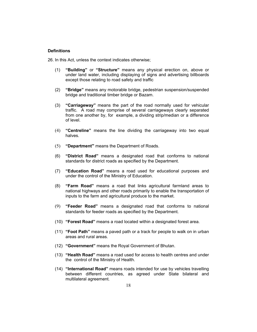#### **Definitions**

26. In this Act, unless the context indicates otherwise;

- (1) **"Building"** or **"Structure"** means any physical erection on, above or under land water, including displaying of signs and advertising billboards except those relating to road safety and traffic
- (2) **"Bridge"** means any motorable bridge, pedestrian suspension/suspended bridge and traditional timber bridge or Bazam.
- (3) **"Carriageway"** means the part of the road normally used for vehicular traffic. A road may comprise of several carriageways clearly separated from one another by, for example, a dividing strip/median or a difference of level.
- (4) **"Centreline"** means the line dividing the carriageway into two equal halves.
- (5) **"Department"** means the Department of Roads.
- (6) **"District Road"** means a designated road that conforms to national standards for district roads as specified by the Department.
- (7) **"Education Road"** means a road used for educational purposes and under the control of the Ministry of Education.
- (8) **"Farm Road"** means a road that links agricultural farmland areas to national highways and other roads primarily to enable the transportation of inputs to the farm and agricultural produce to the market.
- (9) **"Feeder Road"** means a designated road that conforms to national standards for feeder roads as specified by the Department.
- (10) **"Forest Road"** means a road located within a designated forest area.
- (11) **"Foot Path"** means a paved path or a track for people to walk on in urban areas and rural areas.
- (12) **"Government"** means the Royal Government of Bhutan.
- (13) **"Health Road"** means a road used for access to health centres and under the control of the Ministry of Health.
- (14) **"International Road"** means roads intended for use by vehicles travelling between different countries, as agreed under State bilateral and multilateral agreement.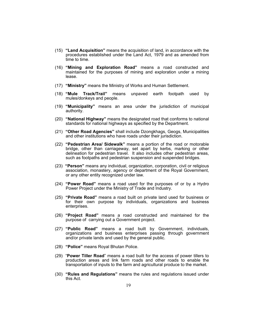- (15) **"Land Acquisition"** means the acquisition of land, in accordance with the procedures established under the Land Act, 1979 and as amended from time to time.
- (16) **"Mining and Exploration Road"** means a road constructed and maintained for the purposes of mining and exploration under a mining lease.
- (17) **"Ministry"** means the Ministry of Works and Human Settlement.
- (18) **"Mule Track/Trail"** means unpaved earth footpath used by mules/donkeys and people.
- (19) **"Municipality"** means an area under the jurisdiction of municipal authority.
- (20) **"National Highway"** means the designated road that conforms to national standards for national highways as specified by the Department.
- (21) **"Other Road Agencies"** shall include Dzongkhags, Geogs, Municipalities and other institutions who have roads under their jurisdiction.
- (22) **"Pedestrian Area/ Sidewalk"** means a portion of the road or motorable bridge, other than carriageway, set apart by kerbs, marking or other delineation for pedestrian travel. It also includes other pedestrian areas, such as footpaths and pedestrian suspension and suspended bridges.
- (23) **"Person"** means any individual, organization, corporation, civil or religious association, monastery, agency or department of the Royal Government, or any other entity recognized under law.
- (24) **"Power Road"** means a road used for the purposes of or by a Hydro Power Project under the Ministry of Trade and Industry.
- (25) **"Private Road"** means a road built on private land used for business or for their own purpose by individuals, organizations and business enterprises.
- (26) **"Project Road"** means a road constructed and maintained for the purpose of carrying out a Government project.
- (27) **"Public Road"** means a road built by Government, individuals, organizations and business enterprises passing through government and/or private lands and used by the general public.
- (28) **"Police"** means Royal Bhutan Police.
- (29) "**Power Tiller Road**" means a road built for the access of power tillers to production areas and link farm roads and other roads to enable the transportation of inputs to the farm and agricultural produce to the market.
- (30) **"Rules and Regulations"** means the rules and regulations issued under this Act.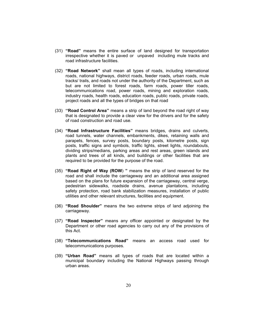- (31) **"Road"** means the entire surface of land designed for transportation irrespective whether it is paved or unpaved including mule tracks and road infrastructure facilities.
- (32) **"Road Network"** shall mean all types of roads, including international roads, national highways, district roads, feeder roads, urban roads, mule tracks/ trails, and roads not under the authority of the Department, such as but are not limited to forest roads, farm roads, power tiller roads, telecommunications road, power roads, mining and exploration roads, industry roads, health roads, education roads, public roads, private roads, project roads and all the types of bridges on that road
- (33) **''Road Control Area''** means a strip of land beyond the road right of way that is designated to provide a clear view for the drivers and for the safety of road construction and road use.
- (34) **"Road Infrastructure Facilities"** means bridges, drains and culverts, road tunnels, water channels, embankments, dikes, retaining walls and parapets, fences, survey posts, boundary posts, kilometre posts, sign posts, traffic signs and symbols, traffic lights, street lights, roundabouts, dividing strips/medians, parking areas and rest areas, green islands and plants and trees of all kinds, and buildings or other facilities that are required to be provided for the purpose of the road.
- (35) **"Road Right of Way (ROW**) **"** means the strip of land reserved for the road and shall include the carriageway and an additional area assigned based on the plans for future expansion of the carriageway, central verge, pedestrian sidewalks, roadside drains, avenue plantations, including safety protection, road bank stabilization measures, installation of public utilities and other relevant structures, facilities and equipment.
- (36) **"Road Shoulder"** means the two extreme strips of land adjoining the carriageway.
- (37) **"Road Inspector"** means any officer appointed or designated by the Department or other road agencies to carry out any of the provisions of this Act.
- (38) **"Telecommunications Road"** means an access road used for telecommunications purposes.
- (39) **"Urban Road"** means all types of roads that are located within a municipal boundary including the National Highways passing through urban areas.